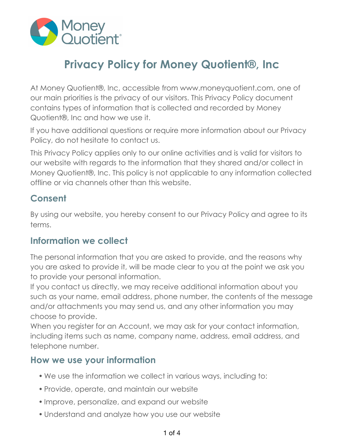

# **Privacy Policy for Money Quotient®, Inc**

At Money Quotient®, Inc, accessible from www.moneyquotient.com, one of our main priorities is the privacy of our visitors. This Privacy Policy document contains types of information that is collected and recorded by Money Quotient®, Inc and how we use it.

If you have additional questions or require more information about our Privacy Policy, do not hesitate to contact us.

This Privacy Policy applies only to our online activities and is valid for visitors to our website with regards to the information that they shared and/or collect in Money Quotient®, Inc. This policy is not applicable to any information collected offline or via channels other than this website.

### **Consent**

By using our website, you hereby consent to our Privacy Policy and agree to its terms.

### **Information we collect**

The personal information that you are asked to provide, and the reasons why you are asked to provide it, will be made clear to you at the point we ask you to provide your personal information.

If you contact us directly, we may receive additional information about you such as your name, email address, phone number, the contents of the message and/or attachments you may send us, and any other information you may choose to provide.

When you register for an Account, we may ask for your contact information, including items such as name, company name, address, email address, and telephone number.

### **How we use your information**

- We use the information we collect in various ways, including to:
- Provide, operate, and maintain our website
- Improve, personalize, and expand our website
- Understand and analyze how you use our website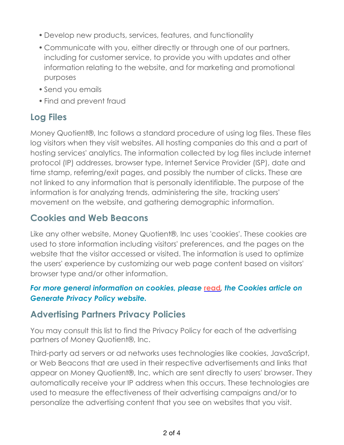- Develop new products, services, features, and functionality
- Communicate with you, either directly or through one of our partners, including for customer service, to provide you with updates and other information relating to the website, and for marketing and promotional purposes
- Send you emails
- Find and prevent fraud

# **Log Files**

Money Quotient®, Inc follows a standard procedure of using log files. These files log visitors when they visit websites. All hosting companies do this and a part of hosting services' analytics. The information collected by log files include internet protocol (IP) addresses, browser type, Internet Service Provider (ISP), date and time stamp, referring/exit pages, and possibly the number of clicks. These are not linked to any information that is personally identifiable. The purpose of the information is for analyzing trends, administering the site, tracking users' movement on the website, and gathering demographic information.

# **Cookies and Web Beacons**

Like any other website, Money Quotient®, Inc uses 'cookies'. These cookies are used to store information including visitors' preferences, and the pages on the website that the visitor accessed or visited. The information is used to optimize the users' experience by customizing our web page content based on visitors' browser type and/or other information.

#### *For more general information on cookies, please* **[read](https://www.generateprivacypolicy.com/#cookies)***, the Cookies article on Generate Privacy Policy website.*

# **Advertising Partners Privacy Policies**

You may consult this list to find the Privacy Policy for each of the advertising partners of Money Quotient®, Inc.

Third-party ad servers or ad networks uses technologies like cookies, JavaScript, or Web Beacons that are used in their respective advertisements and links that appear on Money Quotient®, Inc, which are sent directly to users' browser. They automatically receive your IP address when this occurs. These technologies are used to measure the effectiveness of their advertising campaigns and/or to personalize the advertising content that you see on websites that you visit.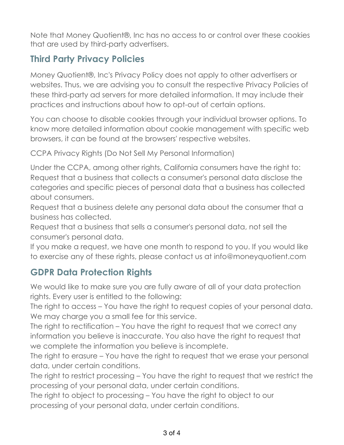Note that Money Quotient®, Inc has no access to or control over these cookies that are used by third-party advertisers.

# **Third Party Privacy Policies**

Money Quotient®, Inc's Privacy Policy does not apply to other advertisers or websites. Thus, we are advising you to consult the respective Privacy Policies of these third-party ad servers for more detailed information. It may include their practices and instructions about how to opt-out of certain options.

You can choose to disable cookies through your individual browser options. To know more detailed information about cookie management with specific web browsers, it can be found at the browsers' respective websites.

CCPA Privacy Rights (Do Not Sell My Personal Information)

Under the CCPA, among other rights, California consumers have the right to: Request that a business that collects a consumer's personal data disclose the categories and specific pieces of personal data that a business has collected about consumers.

Request that a business delete any personal data about the consumer that a business has collected.

Request that a business that sells a consumer's personal data, not sell the consumer's personal data.

If you make a request, we have one month to respond to you. If you would like to exercise any of these rights, please contact us at info@moneyquotient.com

# **GDPR Data Protection Rights**

We would like to make sure you are fully aware of all of your data protection rights. Every user is entitled to the following:

The right to access – You have the right to request copies of your personal data. We may charge you a small fee for this service.

The right to rectification – You have the right to request that we correct any information you believe is inaccurate. You also have the right to request that we complete the information you believe is incomplete.

The right to erasure – You have the right to request that we erase your personal data, under certain conditions.

The right to restrict processing – You have the right to request that we restrict the processing of your personal data, under certain conditions.

The right to object to processing – You have the right to object to our processing of your personal data, under certain conditions.